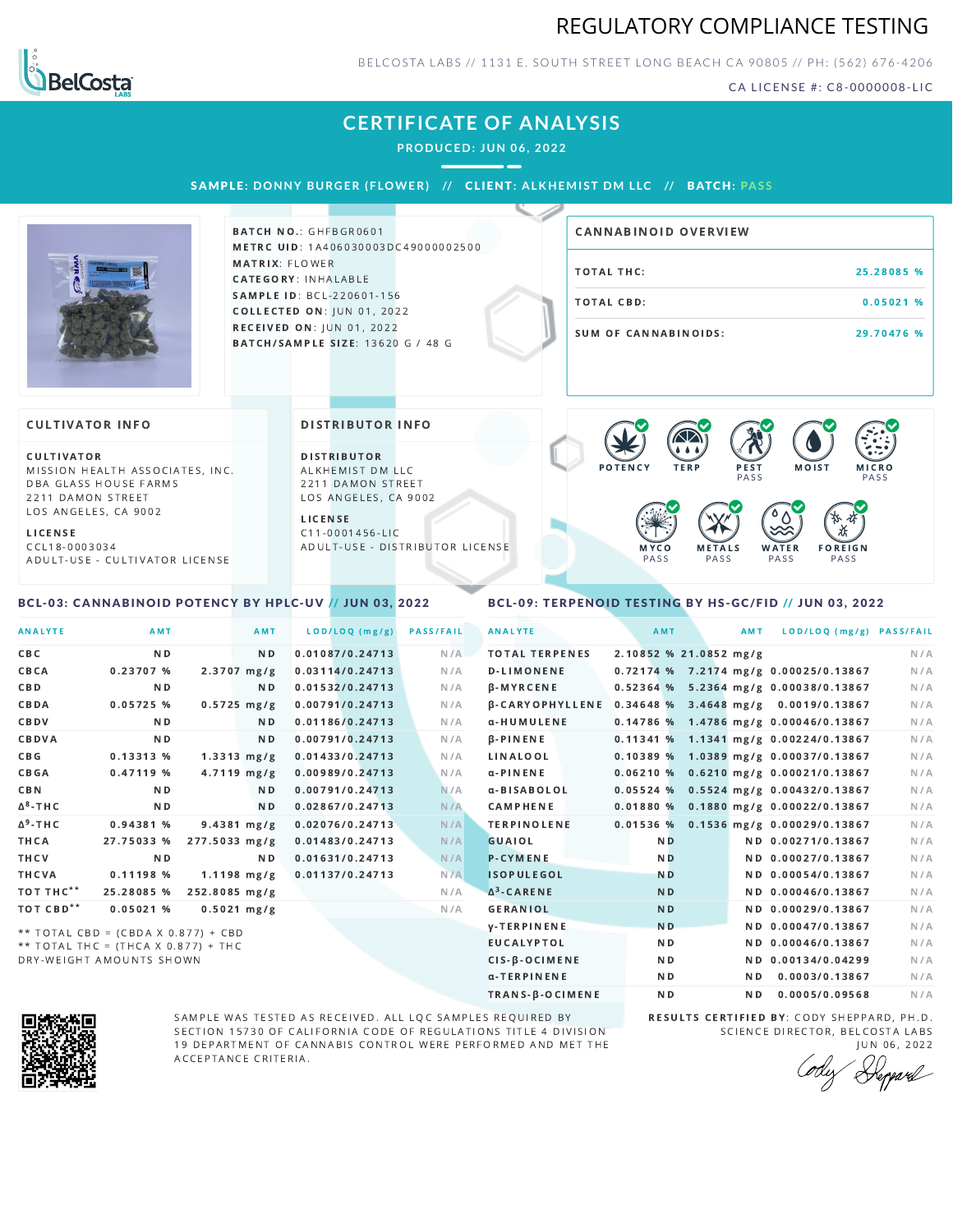## REGULATORY COMPLIANCE TESTING



BELCOSTA LABS // 1131 E. SOUTH STREET LONG BEACH C A 90805 // PH: (562) 676-4206

CA LICENSE #: C8-0000008-LIC

## **CERTIFICATE OF ANALYSIS**

**PRODUCED: JUN 06, 2022**

SAMPL E **: DONNY BURGER ( F LOWER) //** CL I ENT**: A LKHEMI ST DM L LC //** BATCH**: PA S S**



BATCH NO.: GHFBGR0601 METRC UID: 1A406030003DC49000002500 MATRIX: FLOWER CATEGORY: INHALABLE SAMPLE ID: BCL-220601-156 **COLLECTED ON: JUN 01, 2022** RECEIVED ON: JUN 01, 2022 BATCH/SAMPLE SIZE: 13620 G / 48 G

# TOTAL THC: 25.28085 % TOTAL CBD: 0.05021 % SUM OF CANNABINOIDS: 29.70476 % CANNABINOID OVERVIEW

#### **CULTIVATOR INFO**

CULTIVATOR MISSION HEALTH ASSOCIATES, INC. DBA GLASS HOUSE FARMS 2211 DAMON STREET LOS ANGELES, CA 9002

L I C E N S E

C C L 1 8 - 0 0 0 3 0 3 4 A D U L T - U S E - C U L T I V A T O R L I CENSE

<span id="page-0-0"></span>BCL-03: CANNABINOID POTENCY BY HPLC-UV // JUN 03, 2022

#### DISTRIBUTOR INFO

D I STRIBUTOR ALKHEMIST DM LLC 2211 DAMON STREET LOS ANGELES, CA 9002

L I C E N S E C 1 1 - 0 0 0 1 4 5 6 - L I C A D U L T - U S E - D I STRIBUTOR LICENSE



### <span id="page-0-1"></span>BCL-09: TERPENOID TESTING BY HS-GC/FID // JUN 03, 2022

| <b>ANALYTE</b>        | <b>AMT</b>                          |                         | AMT            | LOD/LOQ (mg/g)  | <b>PASS/FAIL</b> | <b>ANALYTE</b>         | AMT            | AMT                    | LOD/LOQ (mg/g) PASS/FAIL                |     |
|-----------------------|-------------------------------------|-------------------------|----------------|-----------------|------------------|------------------------|----------------|------------------------|-----------------------------------------|-----|
| C B C                 | N <sub>D</sub>                      |                         | N <sub>D</sub> | 0.01087/0.24713 | N/A              | <b>TOTAL TERPENES</b>  |                | 2.10852 % 21.0852 mg/g |                                         | N/A |
| CBCA                  | 0.23707 %                           | $2.3707$ mg/g           |                | 0.03114/0.24713 | N/A              | <b>D-LIMONENE</b>      |                |                        | 0.72174 % 7.2174 mg/g 0.00025/0.13867   | N/A |
| CBD                   | N <sub>D</sub>                      |                         | ND.            | 0.01532/0.24713 | N/A              | $\beta$ -MYRCENE       |                |                        | 0.52364 % 5.2364 mg/g 0.00038/0.13867   | N/A |
| CBDA                  | 0.05725%                            | $0.5725$ mg/g           |                | 0.00791/0.24713 | N/A              | <b>B-CARYOPHYLLENE</b> |                |                        | 0.34648 % 3.4648 mg/g 0.0019/0.13867    | N/A |
| CBDV                  | N <sub>D</sub>                      |                         | N <sub>D</sub> | 0.01186/0.24713 | N/A              | α-HUMULENE             |                |                        | 0.14786 % 1.4786 mg/g 0.00046/0.13867   | N/A |
| CBDVA                 | N <sub>D</sub>                      |                         | N <sub>D</sub> | 0.00791/0.24713 | N/A              | <b>B-PINENE</b>        |                |                        | 0.11341 % 1.1341 mg/g 0.00224/0.13867   | N/A |
| C B G                 | 0.13313 %                           | $1.3313 \, \text{mg/g}$ |                | 0.01433/0.24713 | N/A              | LINALOOL               |                |                        | 0.10389 % 1.0389 mg/g 0.00037/0.13867   | N/A |
| <b>CBGA</b>           | $0.47119$ %                         | $4.7119$ mg/g           |                | 0.00989/0.24713 | N/A              | $\alpha$ -PINENE       |                |                        | $0.06210$ % 0.6210 mg/g 0.00021/0.13867 | N/A |
| <b>CBN</b>            | N <sub>D</sub>                      |                         | N <sub>D</sub> | 0.00791/0.24713 | N/A              | α-BISABOLOL            |                |                        | $0.05524$ % 0.5524 mg/g 0.00432/0.13867 | N/A |
| $\Delta^8$ -THC       | N <sub>D</sub>                      |                         | N <sub>D</sub> | 0.02867/0.24713 | N/A              | CAMPHENE               |                |                        | 0.01880 % 0.1880 mg/g 0.00022/0.13867   | N/A |
| $\Delta^9$ -THC       | 0.94381 %                           | $9.4381$ mg/g           |                | 0.02076/0.24713 | N/A              | <b>TERPINOLENE</b>     |                |                        | 0.01536 % 0.1536 mg/g 0.00029/0.13867   | N/A |
| THCA                  | 27.75033 %                          | 277.5033 mg/g           |                | 0.01483/0.24713 | N/A              | <b>GUAIOL</b>          | N <sub>D</sub> |                        | ND 0.00271/0.13867                      | N/A |
| THCV                  | N <sub>D</sub>                      |                         | N <sub>D</sub> | 0.01631/0.24713 | N/A              | <b>P-CYMENE</b>        | N <sub>D</sub> |                        | ND 0.00027/0.13867                      | N/A |
| <b>THCVA</b>          | 0.11198%                            | $1.1198$ mg/g           |                | 0.01137/0.24713 | N/A              | <b>ISOPULEGOL</b>      | <b>ND</b>      |                        | ND 0.00054/0.13867                      | N/A |
| TOT THC**             | 25.28085 %                          | 252.8085 mg/g           |                |                 | N/A              | $\Delta^3$ -CARENE     | <b>ND</b>      |                        | ND 0.00046/0.13867                      | N/A |
| TOT CBD <sup>**</sup> | 0.05021%                            | $0.5021$ mg/g           |                |                 | N/A              | <b>GERANIOL</b>        | <b>ND</b>      |                        | ND 0.00029/0.13867                      | N/A |
|                       | ** TOTAL CBD = (CBDA X 0.877) + CBD |                         |                |                 |                  | <b>y-TERPINENE</b>     | N <sub>D</sub> |                        | ND 0.00047/0.13867                      | N/A |
|                       | ** TOTAL THC = (THCA X 0.877) + THC |                         |                |                 |                  | <b>EUCALYPTOL</b>      | N <sub>D</sub> |                        | ND 0.00046/0.13867                      | N/A |
|                       | DRY-WEIGHT AMOUNTS SHOWN            |                         |                |                 |                  | CIS-B-OCIMENE          | N <sub>D</sub> |                        | ND 0.00134/0.04299                      | N/A |



SAMPLE WAS TESTED AS RECEIVED. ALL LQC SAMPLES REQUIRED BY SECTION 15730 OF CALIFORNIA CODE OF REGULATIONS TITLE 4 DIVISION 19 DEPARTMENT OF CANNABIS CONTROL WERE PERFORMED AND MET THE A C C E P T A N C E C R I T E R I A.

RESULTS CERTIFIED BY: CODY SHEPPARD, PH.D. SCIENCE DIRECTOR, BELCOSTA LABS J U N 0 6 , 2 0 2 2

α-TERPINENE **ND ND 0.0003/0.13867** N/A TRANS-β-OCIMENE ND ND 0.0005/0.09568 N/A

Depard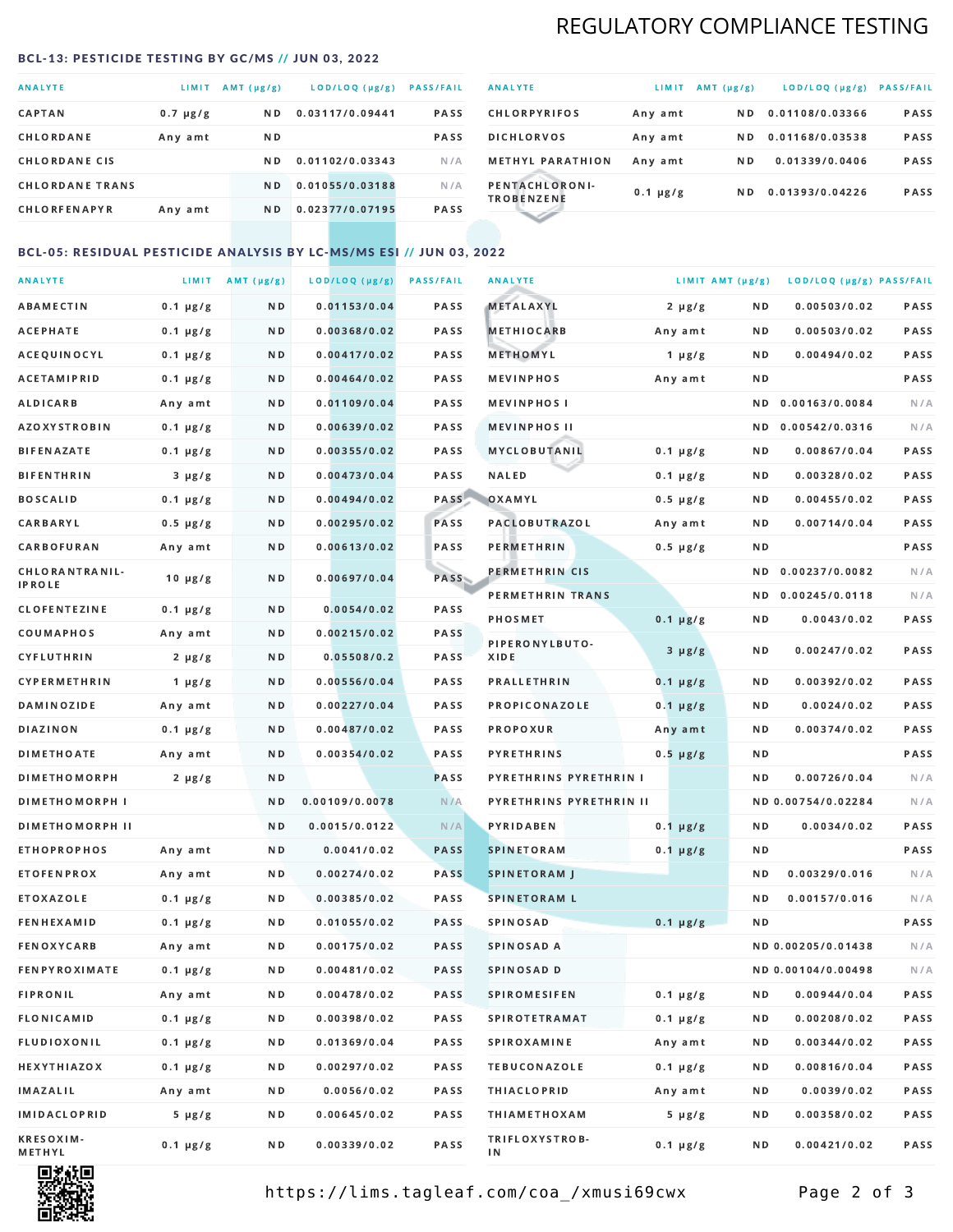## REGULATORY COMPLIANCE TESTING

#### <span id="page-1-0"></span>BCL-13: PESTICIDE TESTING BY GC/MS // JUN 03, 2022

| <b>ANALYTE</b>         | LIMIT.        | $AMT(\mu g/g)$ | LOD/LOQ (µg/g)  | <b>PASS/FAIL</b> |
|------------------------|---------------|----------------|-----------------|------------------|
| <b>CAPTAN</b>          | $0.7 \mu g/g$ | N <sub>D</sub> | 0.03117/0.09441 | <b>PASS</b>      |
| CHLORDANE              | Any amt       | N D            |                 | <b>PASS</b>      |
| <b>CHLORDANE CIS</b>   |               | ND.            | 0.01102/0.03343 | N/A              |
| <b>CHLORDANE TRANS</b> |               | N <sub>D</sub> | 0.01055/0.03188 | N/A              |
| <b>CHLORFENAPYR</b>    | Any amt       | N D            | 0.02377/0.07195 | <b>PASS</b>      |

| <b>ANALYTE</b>                      | LIMIT         | $AMT(\mu g/g)$ | LOD/LOQ (µg/g)  | <b>PASS/FAIL</b> |
|-------------------------------------|---------------|----------------|-----------------|------------------|
| <b>CHLORPYRIFOS</b>                 | Any amt       | N D            | 0.01108/0.03366 | <b>PASS</b>      |
| <b>DICHLORVOS</b>                   | Any amt       | N D.           | 0.01168/0.03538 | PASS             |
| <b>METHYL PARATHION</b>             | Any amt       | N D            | 0.01339/0.0406  | <b>PASS</b>      |
| PENTACHLORONI-<br><b>TROBENZENE</b> | $0.1 \mu g/g$ | ND.            | 0.01393/0.04226 | <b>PASS</b>      |
|                                     |               |                |                 |                  |

### BCL-05: RESIDUAL PESTICIDE ANALYSIS BY LC-MS/MS ESI // JUN 03, 2022

| <b>ANALYTE</b>             |               | LIMIT $AMT (\mu g/g)$ | LOD/LOQ (µg/g) | <b>PASS/FAIL</b> | <b>ANALYTE</b>          | LIMIT AMT $(\mu g/g)$ |     | LOD/LOQ (µg/g) PASS/FAIL |      |
|----------------------------|---------------|-----------------------|----------------|------------------|-------------------------|-----------------------|-----|--------------------------|------|
| ABAMECTIN                  | $0.1 \mu g/g$ | N D                   | 0.01153/0.04   | PASS             | <b>METALAXYL</b>        | $2 \mu g/g$           | N D | 0.00503/0.02             | PASS |
| АСЕРНАТЕ                   | $0.1 \mu g/g$ | N D                   | 0.00368/0.02   | <b>PASS</b>      | <b>METHIOCARB</b>       | Any amt               | N D | 0.00503/0.02             | PASS |
| ACEQUINOCYL                | $0.1 \mu g/g$ | N D                   | 0.00417/0.02   | PASS             | METHOMYL                | 1 $\mu$ g/g           | N D | 0.00494/0.02             | PASS |
| <b>ACETAMIPRID</b>         | $0.1 \mu g/g$ | N D                   | 0.00464/0.02   | PASS             | <b>MEVINPHOS</b>        | Any amt               | ND. |                          | PASS |
| ALDICARB                   | Any amt       | N D                   | 0.01109/0.04   | <b>PASS</b>      | <b>MEVINPHOS I</b>      |                       | ND. | 0.00163/0.0084           | N/A  |
| <b>AZOXYSTROBIN</b>        | $0.1 \mu g/g$ | N D                   | 0.00639/0.02   | <b>PASS</b>      | <b>MEVINPHOS II</b>     |                       | N D | 0.00542/0.0316           | N/A  |
| BIFENAZATE                 | $0.1 \mu g/g$ | N D                   | 0.00355/0.02   | PASS             | MYCLOBUTANIL            | $0.1 \mu g/g$         | N D | 0.00867/0.04             | PASS |
| <b>BIFENTHRIN</b>          | $3 \mu g/g$   | N D                   | 0.00473/0.04   | PASS             | <b>NALED</b>            | $0.1 \mu g/g$         | N D | 0.00328/0.02             | PASS |
| <b>BOSCALID</b>            | $0.1 \mu g/g$ | N D                   | 0.00494/0.02   | PASS             | OXAMYL                  | $0.5 \mu g/g$         | ND  | 0.00455/0.02             | PASS |
| CARBARYL                   | $0.5 \mu g/g$ | N D                   | 0.00295/0.02   | PASS             | <b>PACLOBUTRAZOL</b>    | Any amt               | N D | 0.00714/0.04             | PASS |
| CARBOFURAN                 | Any amt       | N D                   | 0.00613/0.02   | PASS             | PERMETHRIN              | $0.5 \mu g/g$         | N D |                          | PASS |
| CHLORANTRANIL-             | $10 \mu g/g$  | N D                   | 0.00697/0.04   | PASS             | PERMETHRIN CIS          |                       | ND. | 0.00237/0.0082           | N/A  |
| <b>IPROLE</b>              |               |                       |                |                  | PERMETHRIN TRANS        |                       |     | ND 0.00245/0.0118        | N/A  |
| <b>CLOFENTEZINE</b>        | $0.1 \mu g/g$ | N D                   | 0.0054/0.02    | PASS             | <b>PHOSMET</b>          | $0.1 \mu g/g$         | N D | 0.0043/0.02              | PASS |
| COUMAPHOS                  | Any amt       | N D                   | 0.00215/0.02   | PASS             | PIPERONYLBUTO-          | $3 \mu g/g$           | N D | 0.00247/0.02             | PASS |
| CYFLUTHRIN                 | $2 \mu g/g$   | N D                   | 0.05508/0.2    | <b>PASS</b>      | XIDE                    |                       |     |                          |      |
| <b>CYPERMETHRIN</b>        | $1 \mu g/g$   | N D                   | 0.00556/0.04   | PASS             | <b>PRALLETHRIN</b>      | $0.1 \mu g/g$         | N D | 0.00392/0.02             | PASS |
| <b>DAMINOZIDE</b>          | Any amt       | N D                   | 0.00227/0.04   | PASS             | PROPICONAZOLE           | $0.1 \mu g/g$         | N D | 0.0024/0.02              | PASS |
| <b>DIAZINON</b>            | $0.1 \mu g/g$ | N D                   | 0.00487/0.02   | PASS             | <b>PROPOXUR</b>         | Any amt               | N D | 0.00374/0.02             | PASS |
| <b>DIMETHOATE</b>          | Any amt       | N D                   | 0.00354/0.02   | <b>PASS</b>      | <b>PYRETHRINS</b>       | $0.5 \mu g/g$         | N D |                          | PASS |
| <b>DIMETHOMORPH</b>        | $2 \mu g/g$   | N D                   |                | <b>PASS</b>      | PYRETHRINS PYRETHRIN I  |                       | N D | 0.00726/0.04             | N/A  |
| <b>DIMETHOMORPH I</b>      |               | N D                   | 0.00109/0.0078 | N/A              | PYRETHRINS PYRETHRIN II |                       |     | ND 0.00754/0.02284       | N/A  |
| <b>DIMETHOMORPH II</b>     |               | ND.                   | 0.0015/0.0122  | N/A              | PYRIDABEN               | $0.1 \mu g/g$         | N D | 0.0034/0.02              | PASS |
| <b>ETHOPROPHOS</b>         | Any amt       | N D                   | 0.0041/0.02    | <b>PASS</b>      | <b>SPINETORAM</b>       | $0.1 \mu g/g$         | N D |                          | PASS |
| <b>ETOFENPROX</b>          | Any amt       | N D                   | 0.00274/0.02   | <b>PASS</b>      | <b>SPINETORAM J</b>     |                       | N D | 0.00329/0.016            | N/A  |
| ETOXAZOLE                  | $0.1 \mu g/g$ | N D                   | 0.00385/0.02   | PASS             | <b>SPINETORAM L</b>     |                       | ND. | 0.00157/0.016            | N/A  |
| <b>FENHEXAMID</b>          | $0.1 \mu g/g$ | N D                   | 0.01055/0.02   | <b>PASS</b>      | <b>SPINOSAD</b>         | $0.1 \mu g/g$         | N D |                          | PASS |
| FENOXYCARB                 | Any amt       | N D                   | 0.00175/0.02   | <b>PASS</b>      | SPINOSAD A              |                       |     | ND 0.00205/0.01438       | N/A  |
| <b>FENPYROXIMATE</b>       | $0.1 \mu g/g$ | N D                   | 0.00481/0.02   | PASS             | SPINOSAD D              |                       |     | ND 0.00104/0.00498       | N/A  |
| <b>FIPRONIL</b>            | Any amt       | N D                   | 0.00478/0.02   | PASS             | <b>SPIROMESIFEN</b>     | $0.1 \mu g/g$         | ND. | 0.00944/0.04             | PASS |
| FLONICAMID                 | $0.1 \mu g/g$ | N D                   | 0.00398/0.02   | PASS             | <b>SPIROTETRAMAT</b>    | $0.1 \mu g/g$         | N D | 0.00208/0.02             | PASS |
| FLUDIOXONIL                | $0.1 \mu g/g$ | N D                   | 0.01369/0.04   | PASS             | <b>SPIROXAMINE</b>      | Any amt               | N D | 0.00344/0.02             | PASS |
| <b>HEXYTHIAZOX</b>         | $0.1 \mu g/g$ | N D                   | 0.00297/0.02   | PASS             | <b>TEBUCONAZOLE</b>     | $0.1 \mu g/g$         | N D | 0.00816/0.04             | PASS |
| <b>IMAZALIL</b>            | Any amt       | N D                   | 0.0056/0.02    | PASS             | <b>THIACLOPRID</b>      | Any amt               | N D | 0.0039/0.02              | PASS |
| <b>IMIDACLOPRID</b>        | $5 \mu g/g$   | N D                   | 0.00645/0.02   | PASS             | <b>THIAMETHOXAM</b>     | $5 \mu g/g$           | N D | 0.00358/0.02             | PASS |
| <b>KRESOXIM-</b><br>METHYL | $0.1 \mu g/g$ | N D                   | 0.00339/0.02   | PASS             | TRIFLOXYSTROB-<br>ΙN    | $0.1 \mu g/g$         | N D | 0.00421/0.02             | PASS |